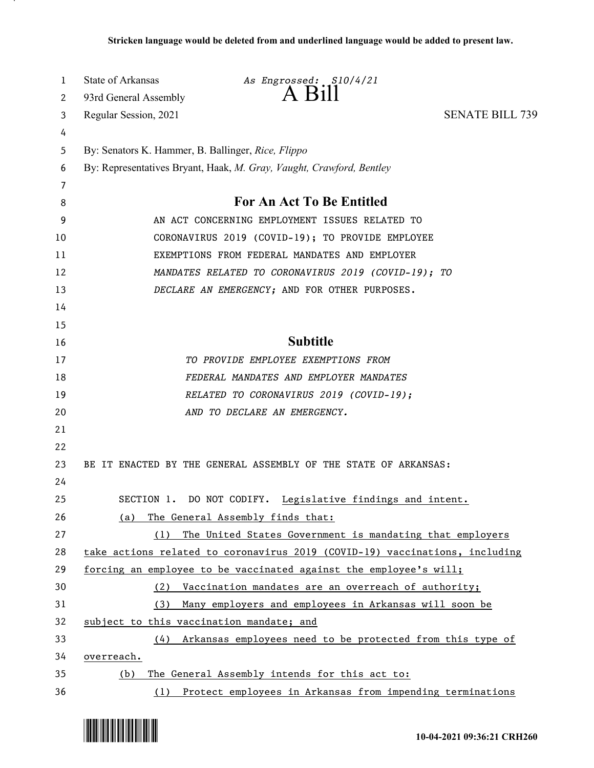| 1  | State of Arkansas                                  | As Engrossed: S10/4/21                                                      |                        |
|----|----------------------------------------------------|-----------------------------------------------------------------------------|------------------------|
| 2  | 93rd General Assembly                              | $A$ Bill                                                                    |                        |
| 3  | Regular Session, 2021                              |                                                                             | <b>SENATE BILL 739</b> |
| 4  |                                                    |                                                                             |                        |
| 5  | By: Senators K. Hammer, B. Ballinger, Rice, Flippo |                                                                             |                        |
| 6  |                                                    | By: Representatives Bryant, Haak, M. Gray, Vaught, Crawford, Bentley        |                        |
| 7  |                                                    |                                                                             |                        |
| 8  |                                                    | For An Act To Be Entitled                                                   |                        |
| 9  |                                                    | AN ACT CONCERNING EMPLOYMENT ISSUES RELATED TO                              |                        |
| 10 |                                                    | CORONAVIRUS 2019 (COVID-19); TO PROVIDE EMPLOYEE                            |                        |
| 11 |                                                    | EXEMPTIONS FROM FEDERAL MANDATES AND EMPLOYER                               |                        |
| 12 |                                                    | MANDATES RELATED TO CORONAVIRUS 2019 (COVID-19); TO                         |                        |
| 13 |                                                    | DECLARE AN EMERGENCY; AND FOR OTHER PURPOSES.                               |                        |
| 14 |                                                    |                                                                             |                        |
| 15 |                                                    |                                                                             |                        |
| 16 |                                                    | <b>Subtitle</b>                                                             |                        |
| 17 |                                                    | TO PROVIDE EMPLOYEE EXEMPTIONS FROM                                         |                        |
| 18 |                                                    | FEDERAL MANDATES AND EMPLOYER MANDATES                                      |                        |
| 19 |                                                    | RELATED TO CORONAVIRUS 2019 (COVID-19);                                     |                        |
| 20 |                                                    | AND TO DECLARE AN EMERGENCY.                                                |                        |
| 21 |                                                    |                                                                             |                        |
| 22 |                                                    |                                                                             |                        |
| 23 |                                                    | BE IT ENACTED BY THE GENERAL ASSEMBLY OF THE STATE OF ARKANSAS:             |                        |
| 24 |                                                    |                                                                             |                        |
| 25 | SECTION 1.                                         | DO NOT CODIFY.<br>Legislative findings and intent.                          |                        |
| 26 | (a)                                                | The General Assembly finds that:                                            |                        |
| 27 |                                                    | (1) The United States Government is mandating that employers                |                        |
| 28 |                                                    | take actions related to coronavirus 2019 (COVID-19) vaccinations, including |                        |
| 29 |                                                    | forcing an employee to be vaccinated against the employee's will;           |                        |
| 30 | (2)                                                | Vaccination mandates are an overreach of authority;                         |                        |
| 31 | (3)                                                | Many employers and employees in Arkansas will soon be                       |                        |
| 32 | subject to this vaccination mandate; and           |                                                                             |                        |
| 33 | (4)                                                | Arkansas employees need to be protected from this type of                   |                        |
| 34 | overreach.                                         |                                                                             |                        |
| 35 | (b)                                                | The General Assembly intends for this act to:                               |                        |
| 36 |                                                    | (1) Protect employees in Arkansas from impending terminations               |                        |

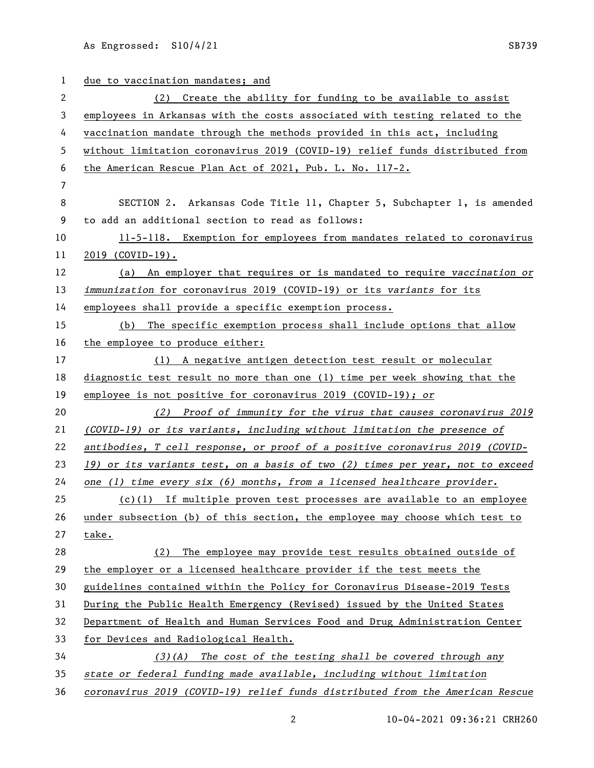As Engrossed:  $\text{S10/4/21}$  SB739

 due to vaccination mandates; and (2) Create the ability for funding to be available to assist employees in Arkansas with the costs associated with testing related to the vaccination mandate through the methods provided in this act, including without limitation coronavirus 2019 (COVID-19) relief funds distributed from the American Rescue Plan Act of 2021, Pub. L. No. 117-2. SECTION 2. Arkansas Code Title 11, Chapter 5, Subchapter 1, is amended to add an additional section to read as follows: 11-5-118. Exemption for employees from mandates related to coronavirus 2019 (COVID-19). (a) An employer that requires or is mandated to require *vaccination or immunization* for coronavirus 2019 (COVID-19) or its *variants* for its employees shall provide a specific exemption process. (b) The specific exemption process shall include options that allow the employee to produce either: (1) A negative antigen detection test result or molecular diagnostic test result no more than one (1) time per week showing that the employee is not positive for coronavirus 2019 (COVID-19)*; or (2) Proof of immunity for the virus that causes coronavirus 2019 (COVID-19) or its variants, including without limitation the presence of antibodies, T cell response, or proof of a positive coronavirus 2019 (COVID- 19) or its variants test, on a basis of two (2) times per year, not to exceed one (1) time every six (6) months, from a licensed healthcare provider.* (c)(1) If multiple proven test processes are available to an employee under subsection (b) of this section, the employee may choose which test to take. (2) The employee may provide test results obtained outside of the employer or a licensed healthcare provider if the test meets the guidelines contained within the Policy for Coronavirus Disease-2019 Tests During the Public Health Emergency (Revised) issued by the United States Department of Health and Human Services Food and Drug Administration Center for Devices and Radiological Health. *(3)(A) The cost of the testing shall be covered through any state or federal funding made available, including without limitation coronavirus 2019 (COVID-19) relief funds distributed from the American Rescue* 

10-04-2021 09:36:21 CRH260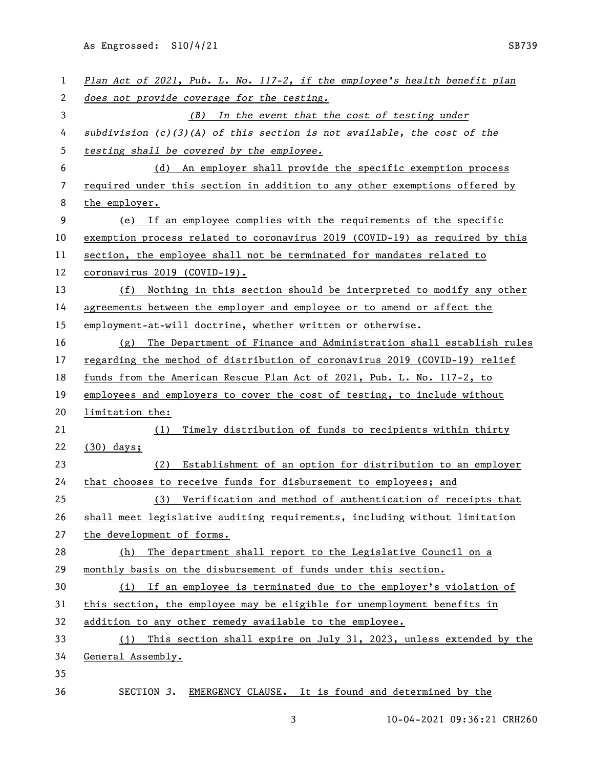As Engrossed: S10/4/21 SB739

| $\mathbf{1}$ | Plan Act of 2021, Pub. L. No. 117-2, if the employee's health benefit plan   |
|--------------|------------------------------------------------------------------------------|
| 2            | does not provide coverage for the testing.                                   |
| 3            | (B) In the event that the cost of testing under                              |
| 4            | subdivision $(c)(3)(A)$ of this section is not available, the cost of the    |
| 5            | testing shall be covered by the employee.                                    |
| 6            | (d) An employer shall provide the specific exemption process                 |
| 7            | required under this section in addition to any other exemptions offered by   |
| 8            | the employer.                                                                |
| 9            | (e) If an employee complies with the requirements of the specific            |
| 10           | exemption process related to coronavirus 2019 (COVID-19) as required by this |
| 11           | section, the employee shall not be terminated for mandates related to        |
| 12           | coronavirus 2019 (COVID-19).                                                 |
| 13           | (f) Nothing in this section should be interpreted to modify any other        |
| 14           | agreements between the employer and employee or to amend or affect the       |
| 15           | employment-at-will doctrine, whether written or otherwise.                   |
| 16           | (g) The Department of Finance and Administration shall establish rules       |
| 17           | regarding the method of distribution of coronavirus 2019 (COVID-19) relief   |
| 18           | funds from the American Rescue Plan Act of 2021, Pub. L. No. 117-2, to       |
| 19           | employees and employers to cover the cost of testing, to include without     |
| 20           | limitation the:                                                              |
| 21           | Timely distribution of funds to recipients within thirty<br>(1)              |
| 22           | $(30)$ days;                                                                 |
| 23           | Establishment of an option for distribution to an employer<br>(2)            |
| 24           | that chooses to receive funds for disbursement to employees; and             |
| 25           | (3) Verification and method of authentication of receipts that               |
| 26           | shall meet legislative auditing requirements, including without limitation   |
| 27           | the development of forms.                                                    |
| 28           | The department shall report to the Legislative Council on a<br>(h)           |
| 29           | monthly basis on the disbursement of funds under this section.               |
| 30           | (i) If an employee is terminated due to the employer's violation of          |
| 31           | this section, the employee may be eligible for unemployment benefits in      |
| 32           | addition to any other remedy available to the employee.                      |
| 33           | (j) This section shall expire on July 31, 2023, unless extended by the       |
| 34           | General Assembly.                                                            |
| 35           |                                                                              |
| 36           | SECTION 3. EMERGENCY CLAUSE. It is found and determined by the               |

3 10-04-2021 09:36:21 CRH260